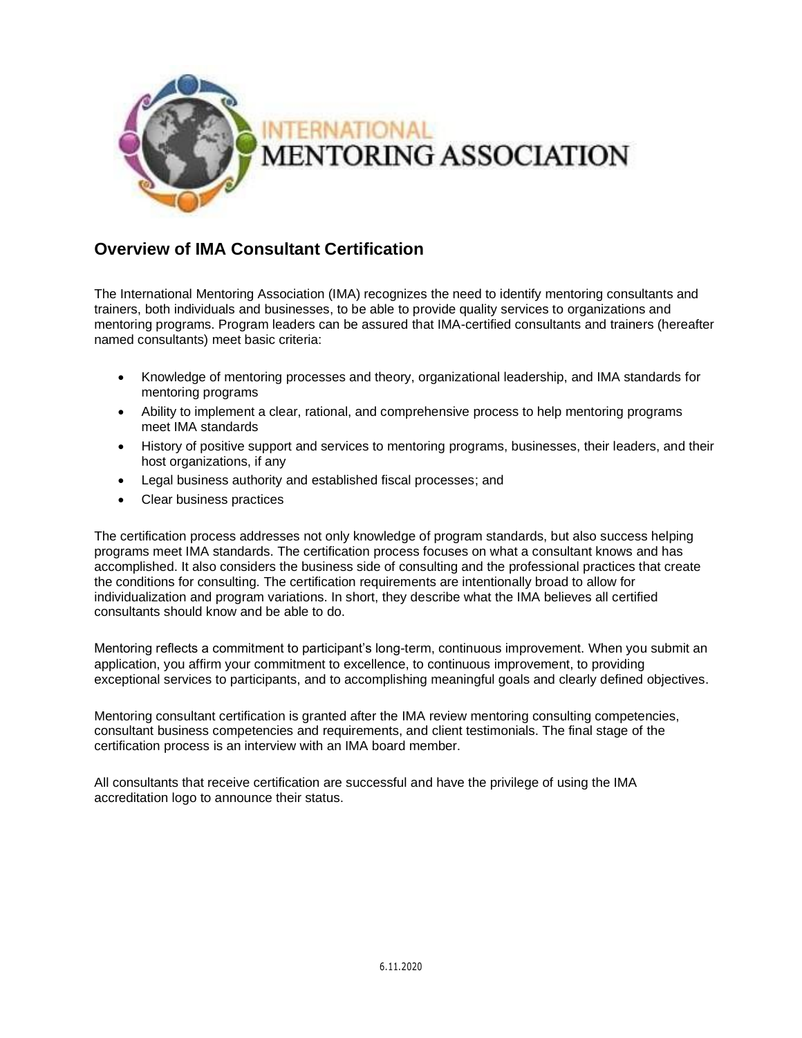

# **Overview of IMA Consultant Certification**

The International Mentoring Association (IMA) recognizes the need to identify mentoring consultants and trainers, both individuals and businesses, to be able to provide quality services to organizations and mentoring programs. Program leaders can be assured that IMA-certified consultants and trainers (hereafter named consultants) meet basic criteria:

- Knowledge of mentoring processes and theory, organizational leadership, and IMA standards for mentoring programs
- Ability to implement a clear, rational, and comprehensive process to help mentoring programs meet IMA standards
- History of positive support and services to mentoring programs, businesses, their leaders, and their host organizations, if any
- Legal business authority and established fiscal processes; and
- Clear business practices

The certification process addresses not only knowledge of program standards, but also success helping programs meet IMA standards. The certification process focuses on what a consultant knows and has accomplished. It also considers the business side of consulting and the professional practices that create the conditions for consulting. The certification requirements are intentionally broad to allow for individualization and program variations. In short, they describe what the IMA believes all certified consultants should know and be able to do.

Mentoring reflects a commitment to participant's long-term, continuous improvement. When you submit an application, you affirm your commitment to excellence, to continuous improvement, to providing exceptional services to participants, and to accomplishing meaningful goals and clearly defined objectives.

Mentoring consultant certification is granted after the IMA review mentoring consulting competencies, consultant business competencies and requirements, and client testimonials. The final stage of the certification process is an interview with an IMA board member.

All consultants that receive certification are successful and have the privilege of using the IMA accreditation logo to announce their status.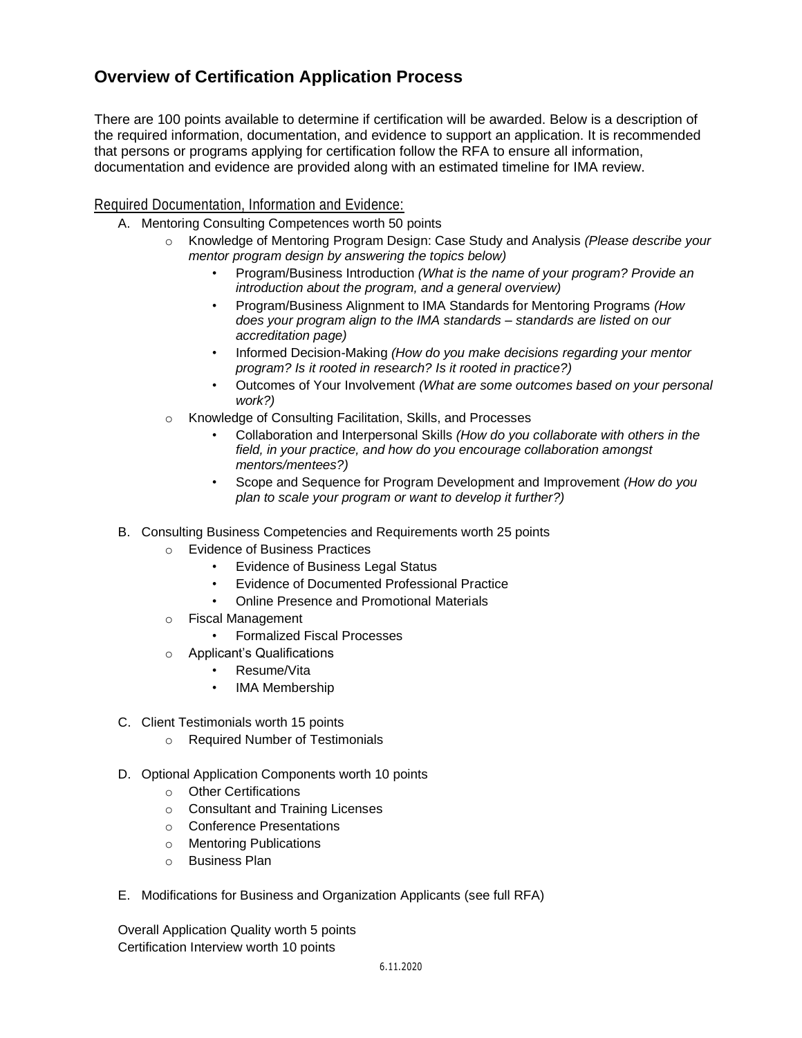## **Overview of Certification Application Process**

There are 100 points available to determine if certification will be awarded. Below is a description of the required information, documentation, and evidence to support an application. It is recommended that persons or programs applying for certification follow the RFA to ensure all information, documentation and evidence are provided along with an estimated timeline for IMA review.

### Required Documentation, Information and Evidence:

- A. Mentoring Consulting Competences worth 50 points
	- o Knowledge of Mentoring Program Design: Case Study and Analysis *(Please describe your mentor program design by answering the topics below)*
		- Program/Business Introduction *(What is the name of your program? Provide an introduction about the program, and a general overview)*
		- Program/Business Alignment to IMA Standards for Mentoring Programs *(How does your program align to the IMA standards – standards are listed on our accreditation page)*
		- Informed Decision-Making *(How do you make decisions regarding your mentor program? Is it rooted in research? Is it rooted in practice?)*
		- Outcomes of Your Involvement *(What are some outcomes based on your personal work?)*
	- o Knowledge of Consulting Facilitation, Skills, and Processes
		- Collaboration and Interpersonal Skills *(How do you collaborate with others in the field, in your practice, and how do you encourage collaboration amongst mentors/mentees?)*
		- Scope and Sequence for Program Development and Improvement *(How do you plan to scale your program or want to develop it further?)*
- B. Consulting Business Competencies and Requirements worth 25 points
	- o Evidence of Business Practices
		- **Evidence of Business Legal Status**
		- Evidence of Documented Professional Practice
		- Online Presence and Promotional Materials
	- o Fiscal Management
		- Formalized Fiscal Processes
	- o Applicant's Qualifications
		- Resume/Vita
		- IMA Membership
- C. Client Testimonials worth 15 points
	- o Required Number of Testimonials
- D. Optional Application Components worth 10 points
	- o Other Certifications
	- o Consultant and Training Licenses
	- o Conference Presentations
	- o Mentoring Publications
	- o Business Plan
- E. Modifications for Business and Organization Applicants (see full RFA)

Overall Application Quality worth 5 points Certification Interview worth 10 points